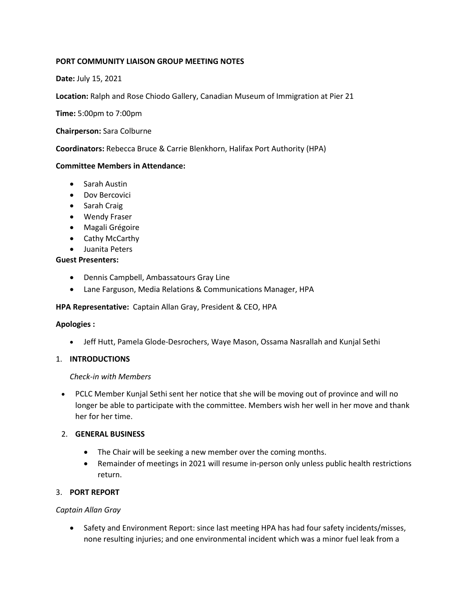## **PORT COMMUNITY LIAISON GROUP MEETING NOTES**

## **Date:** July 15, 2021

**Location:** Ralph and Rose Chiodo Gallery, Canadian Museum of Immigration at Pier 21

**Time:** 5:00pm to 7:00pm

**Chairperson:** Sara Colburne

**Coordinators:** Rebecca Bruce & Carrie Blenkhorn, Halifax Port Authority (HPA)

### **Committee Members in Attendance:**

- Sarah Austin
- Dov Bercovici
- Sarah Craig
- Wendy Fraser
- Magali Grégoire
- Cathy McCarthy
- Juanita Peters

### **Guest Presenters:**

- Dennis Campbell, Ambassatours Gray Line
- Lane Farguson, Media Relations & Communications Manager, HPA

#### **HPA Representative:** Captain Allan Gray, President & CEO, HPA

#### **Apologies :**

• Jeff Hutt, Pamela Glode-Desrochers, Waye Mason, Ossama Nasrallah and Kunjal Sethi 

#### 1. **INTRODUCTIONS**

#### *Check-in with Members*

• PCLC Member Kunjal Sethi sent her notice that she will be moving out of province and will no longer be able to participate with the committee. Members wish her well in her move and thank her for her time.

#### 2. **GENERAL BUSINESS**

- The Chair will be seeking a new member over the coming months.
- Remainder of meetings in 2021 will resume in-person only unless public health restrictions return.

## 3. **PORT REPORT**

### *Captain Allan Gray*

• Safety and Environment Report: since last meeting HPA has had four safety incidents/misses, none resulting injuries; and one environmental incident which was a minor fuel leak from a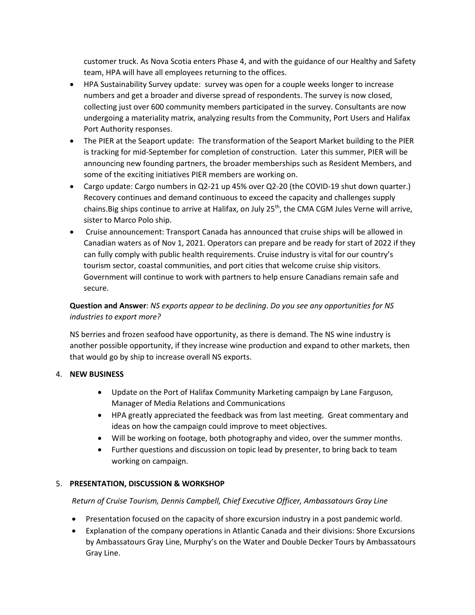customer truck. As Nova Scotia enters Phase 4, and with the guidance of our Healthy and Safety team, HPA will have all employees returning to the offices.

- HPA Sustainability Survey update: survey was open for a couple weeks longer to increase numbers and get a broader and diverse spread of respondents. The survey is now closed, collecting just over 600 community members participated in the survey. Consultants are now undergoing a materiality matrix, analyzing results from the Community, Port Users and Halifax Port Authority responses.
- The PIER at the Seaport update: The transformation of the Seaport Market building to the PIER is tracking for mid-September for completion of construction. Later this summer, PIER will be announcing new founding partners, the broader memberships such as Resident Members, and some of the exciting initiatives PIER members are working on.
- Cargo update: Cargo numbers in Q2-21 up 45% over Q2-20 (the COVID-19 shut down quarter.) Recovery continues and demand continuous to exceed the capacity and challenges supply chains. Big ships continue to arrive at Halifax, on July 25<sup>th</sup>, the CMA CGM Jules Verne will arrive, sister to Marco Polo ship.
- Cruise announcement: Transport Canada has announced that cruise ships will be allowed in Canadian waters as of Nov 1, 2021. Operators can prepare and be ready for start of 2022 if they can fully comply with public health requirements. Cruise industry is vital for our country's tourism sector, coastal communities, and port cities that welcome cruise ship visitors. Government will continue to work with partners to help ensure Canadians remain safe and secure.

# **Question and Answer**: *NS exports appear to be declining*. *Do you see any opportunities for NS industries to export more?*

NS berries and frozen seafood have opportunity, as there is demand. The NS wine industry is another possible opportunity, if they increase wine production and expand to other markets, then that would go by ship to increase overall NS exports.

## 4. **NEW BUSINESS**

- Update on the Port of Halifax Community Marketing campaign by Lane Farguson, Manager of Media Relations and Communications
- HPA greatly appreciated the feedback was from last meeting. Great commentary and ideas on how the campaign could improve to meet objectives.
- Will be working on footage, both photography and video, over the summer months.
- Further questions and discussion on topic lead by presenter, to bring back to team working on campaign.

## 5. **PRESENTATION, DISCUSSION & WORKSHOP**

## *Return of Cruise Tourism, Dennis Campbell, Chief Executive Officer, Ambassatours Gray Line*

- Presentation focused on the capacity of shore excursion industry in a post pandemic world.
- Explanation of the company operations in Atlantic Canada and their divisions: Shore Excursions by Ambassatours Gray Line, Murphy's on the Water and Double Decker Tours by Ambassatours Gray Line.